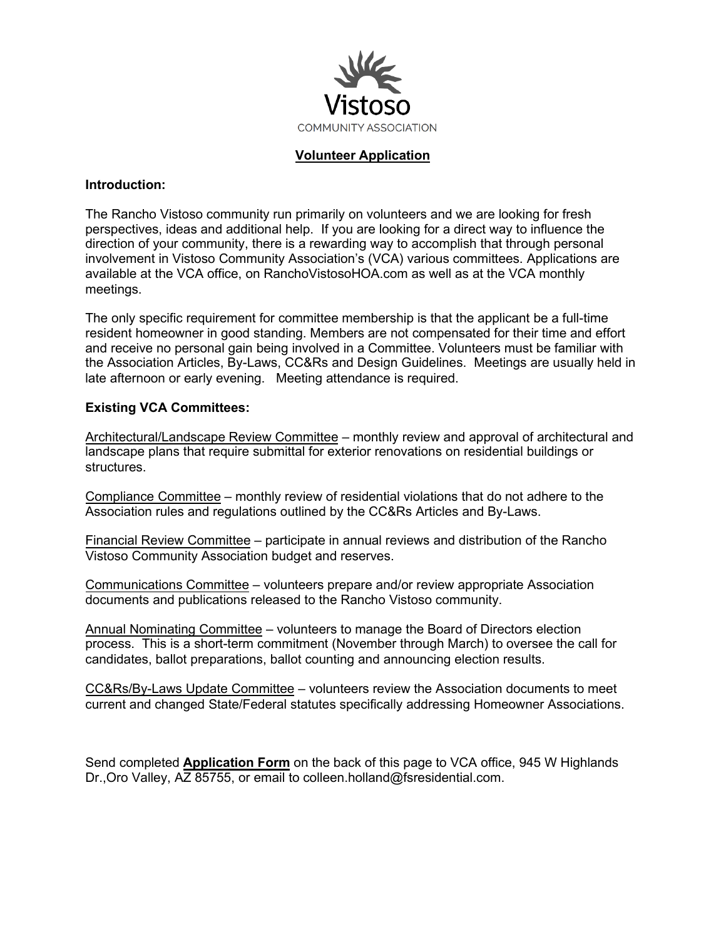

## **Volunteer Application**

## **Introduction:**

The Rancho Vistoso community run primarily on volunteers and we are looking for fresh perspectives, ideas and additional help. If you are looking for a direct way to influence the direction of your community, there is a rewarding way to accomplish that through personal involvement in Vistoso Community Association's (VCA) various committees. Applications are available at the VCA office, on RanchoVistosoHOA.com as well as at the VCA monthly meetings.

The only specific requirement for committee membership is that the applicant be a full-time resident homeowner in good standing. Members are not compensated for their time and effort and receive no personal gain being involved in a Committee. Volunteers must be familiar with the Association Articles, By-Laws, CC&Rs and Design Guidelines. Meetings are usually held in late afternoon or early evening. Meeting attendance is required.

## **Existing VCA Committees:**

Architectural/Landscape Review Committee – monthly review and approval of architectural and landscape plans that require submittal for exterior renovations on residential buildings or structures.

Compliance Committee – monthly review of residential violations that do not adhere to the Association rules and regulations outlined by the CC&Rs Articles and By-Laws.

Financial Review Committee – participate in annual reviews and distribution of the Rancho Vistoso Community Association budget and reserves.

Communications Committee – volunteers prepare and/or review appropriate Association documents and publications released to the Rancho Vistoso community.

Annual Nominating Committee – volunteers to manage the Board of Directors election process. This is a short-term commitment (November through March) to oversee the call for candidates, ballot preparations, ballot counting and announcing election results.

CC&Rs/By-Laws Update Committee – volunteers review the Association documents to meet current and changed State/Federal statutes specifically addressing Homeowner Associations.

Send completed **Application Form** on the back of this page to VCA office, 945 W Highlands Dr., Oro Valley, AZ 85755, or email to colleen.holland@fsresidential.com.